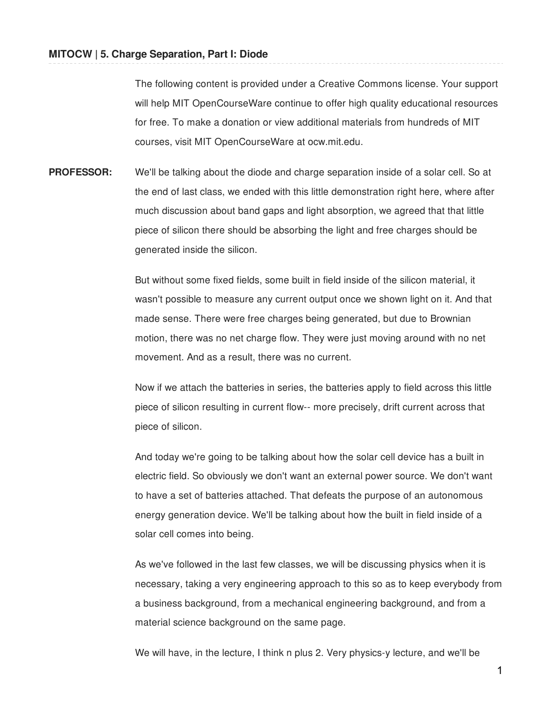The following content is provided under a Creative Commons license. Your support will help MIT OpenCourseWare continue to offer high quality educational resources for free. To make a donation or view additional materials from hundreds of MIT courses, visit MIT OpenCourseWare at ocw.mit.edu.

**PROFESSOR:** We'll be talking about the diode and charge separation inside of a solar cell. So at the end of last class, we ended with this little demonstration right here, where after much discussion about band gaps and light absorption, we agreed that that little piece of silicon there should be absorbing the light and free charges should be generated inside the silicon.

> But without some fixed fields, some built in field inside of the silicon material, it wasn't possible to measure any current output once we shown light on it. And that made sense. There were free charges being generated, but due to Brownian motion, there was no net charge flow. They were just moving around with no net movement. And as a result, there was no current.

> Now if we attach the batteries in series, the batteries apply to field across this little piece of silicon resulting in current flow-- more precisely, drift current across that piece of silicon.

> And today we're going to be talking about how the solar cell device has a built in electric field. So obviously we don't want an external power source. We don't want to have a set of batteries attached. That defeats the purpose of an autonomous energy generation device. We'll be talking about how the built in field inside of a solar cell comes into being.

As we've followed in the last few classes, we will be discussing physics when it is necessary, taking a very engineering approach to this so as to keep everybody from a business background, from a mechanical engineering background, and from a material science background on the same page.

We will have, in the lecture, I think n plus 2. Very physics-y lecture, and we'll be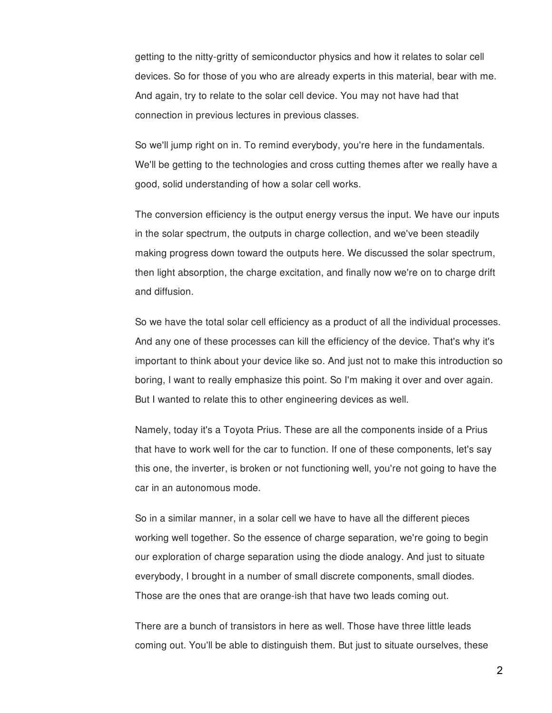getting to the nitty-gritty of semiconductor physics and how it relates to solar cell devices. So for those of you who are already experts in this material, bear with me. And again, try to relate to the solar cell device. You may not have had that connection in previous lectures in previous classes.

So we'll jump right on in. To remind everybody, you're here in the fundamentals. We'll be getting to the technologies and cross cutting themes after we really have a good, solid understanding of how a solar cell works.

The conversion efficiency is the output energy versus the input. We have our inputs in the solar spectrum, the outputs in charge collection, and we've been steadily making progress down toward the outputs here. We discussed the solar spectrum, then light absorption, the charge excitation, and finally now we're on to charge drift and diffusion.

So we have the total solar cell efficiency as a product of all the individual processes. And any one of these processes can kill the efficiency of the device. That's why it's important to think about your device like so. And just not to make this introduction so boring, I want to really emphasize this point. So I'm making it over and over again. But I wanted to relate this to other engineering devices as well.

Namely, today it's a Toyota Prius. These are all the components inside of a Prius that have to work well for the car to function. If one of these components, let's say this one, the inverter, is broken or not functioning well, you're not going to have the car in an autonomous mode.

So in a similar manner, in a solar cell we have to have all the different pieces working well together. So the essence of charge separation, we're going to begin our exploration of charge separation using the diode analogy. And just to situate everybody, I brought in a number of small discrete components, small diodes. Those are the ones that are orange-ish that have two leads coming out.

There are a bunch of transistors in here as well. Those have three little leads coming out. You'll be able to distinguish them. But just to situate ourselves, these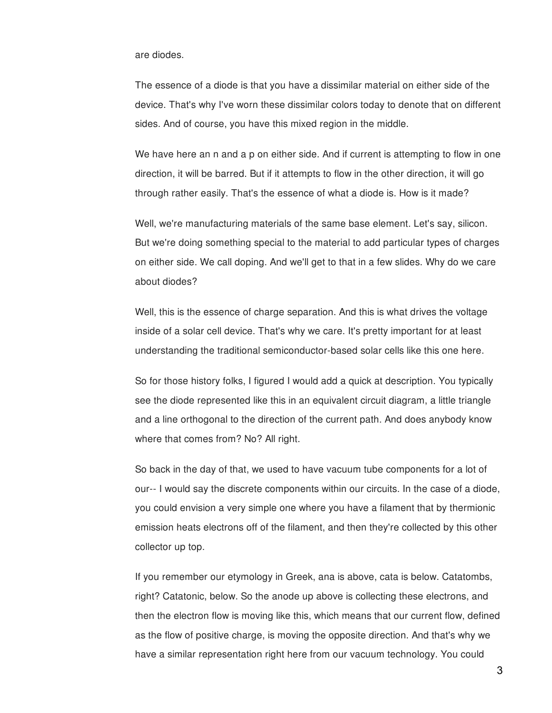are diodes.

The essence of a diode is that you have a dissimilar material on either side of the device. That's why I've worn these dissimilar colors today to denote that on different sides. And of course, you have this mixed region in the middle.

We have here an n and a p on either side. And if current is attempting to flow in one direction, it will be barred. But if it attempts to flow in the other direction, it will go through rather easily. That's the essence of what a diode is. How is it made?

Well, we're manufacturing materials of the same base element. Let's say, silicon. But we're doing something special to the material to add particular types of charges on either side. We call doping. And we'll get to that in a few slides. Why do we care about diodes?

Well, this is the essence of charge separation. And this is what drives the voltage inside of a solar cell device. That's why we care. It's pretty important for at least understanding the traditional semiconductor-based solar cells like this one here.

So for those history folks, I figured I would add a quick at description. You typically see the diode represented like this in an equivalent circuit diagram, a little triangle and a line orthogonal to the direction of the current path. And does anybody know where that comes from? No? All right.

So back in the day of that, we used to have vacuum tube components for a lot of our-- I would say the discrete components within our circuits. In the case of a diode, you could envision a very simple one where you have a filament that by thermionic emission heats electrons off of the filament, and then they're collected by this other collector up top.

If you remember our etymology in Greek, ana is above, cata is below. Catatombs, right? Catatonic, below. So the anode up above is collecting these electrons, and then the electron flow is moving like this, which means that our current flow, defined as the flow of positive charge, is moving the opposite direction. And that's why we have a similar representation right here from our vacuum technology. You could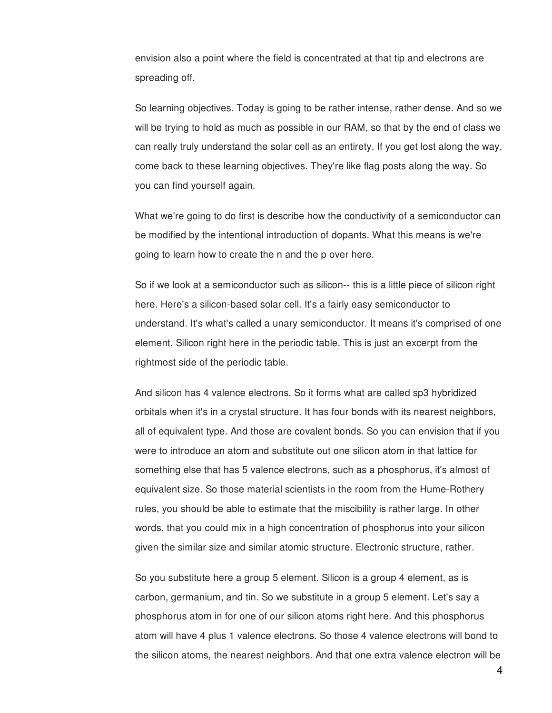envision also a point where the field is concentrated at that tip and electrons are spreading off.

So learning objectives. Today is going to be rather intense, rather dense. And so we will be trying to hold as much as possible in our RAM, so that by the end of class we can really truly understand the solar cell as an entirety. If you get lost along the way, come back to these learning objectives. They're like flag posts along the way. So you can find yourself again.

What we're going to do first is describe how the conductivity of a semiconductor can be modified by the intentional introduction of dopants. What this means is we're going to learn how to create the n and the p over here.

So if we look at a semiconductor such as silicon-- this is a little piece of silicon right here. Here's a silicon-based solar cell. It's a fairly easy semiconductor to understand. It's what's called a unary semiconductor. It means it's comprised of one element. Silicon right here in the periodic table. This is just an excerpt from the rightmost side of the periodic table.

And silicon has 4 valence electrons. So it forms what are called sp3 hybridized orbitals when it's in a crystal structure. It has four bonds with its nearest neighbors, all of equivalent type. And those are covalent bonds. So you can envision that if you were to introduce an atom and substitute out one silicon atom in that lattice for something else that has 5 valence electrons, such as a phosphorus, it's almost of equivalent size. So those material scientists in the room from the Hume-Rothery rules, you should be able to estimate that the miscibility is rather large. In other words, that you could mix in a high concentration of phosphorus into your silicon given the similar size and similar atomic structure. Electronic structure, rather.

So you substitute here a group 5 element. Silicon is a group 4 element, as is carbon, germanium, and tin. So we substitute in a group 5 element. Let's say a phosphorus atom in for one of our silicon atoms right here. And this phosphorus atom will have 4 plus 1 valence electrons. So those 4 valence electrons will bond to the silicon atoms, the nearest neighbors. And that one extra valence electron will be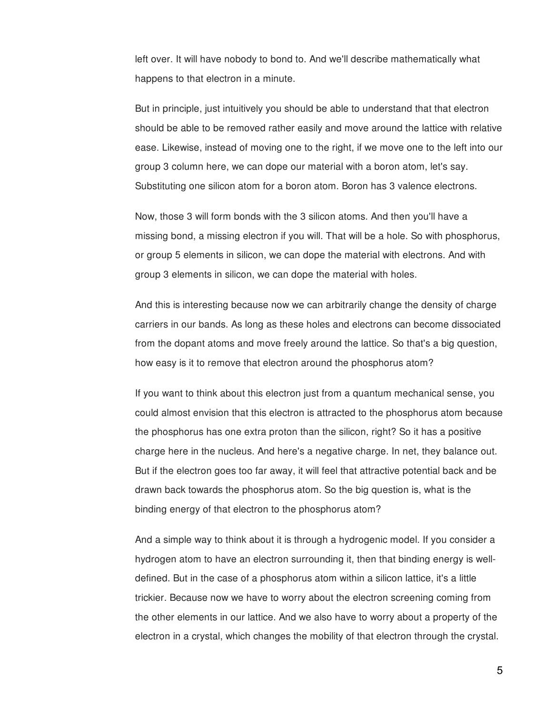left over. It will have nobody to bond to. And we'll describe mathematically what happens to that electron in a minute.

But in principle, just intuitively you should be able to understand that that electron should be able to be removed rather easily and move around the lattice with relative ease. Likewise, instead of moving one to the right, if we move one to the left into our group 3 column here, we can dope our material with a boron atom, let's say. Substituting one silicon atom for a boron atom. Boron has 3 valence electrons.

Now, those 3 will form bonds with the 3 silicon atoms. And then you'll have a missing bond, a missing electron if you will. That will be a hole. So with phosphorus, or group 5 elements in silicon, we can dope the material with electrons. And with group 3 elements in silicon, we can dope the material with holes.

And this is interesting because now we can arbitrarily change the density of charge carriers in our bands. As long as these holes and electrons can become dissociated from the dopant atoms and move freely around the lattice. So that's a big question, how easy is it to remove that electron around the phosphorus atom?

If you want to think about this electron just from a quantum mechanical sense, you could almost envision that this electron is attracted to the phosphorus atom because the phosphorus has one extra proton than the silicon, right? So it has a positive charge here in the nucleus. And here's a negative charge. In net, they balance out. But if the electron goes too far away, it will feel that attractive potential back and be drawn back towards the phosphorus atom. So the big question is, what is the binding energy of that electron to the phosphorus atom?

And a simple way to think about it is through a hydrogenic model. If you consider a hydrogen atom to have an electron surrounding it, then that binding energy is welldefined. But in the case of a phosphorus atom within a silicon lattice, it's a little trickier. Because now we have to worry about the electron screening coming from the other elements in our lattice. And we also have to worry about a property of the electron in a crystal, which changes the mobility of that electron through the crystal.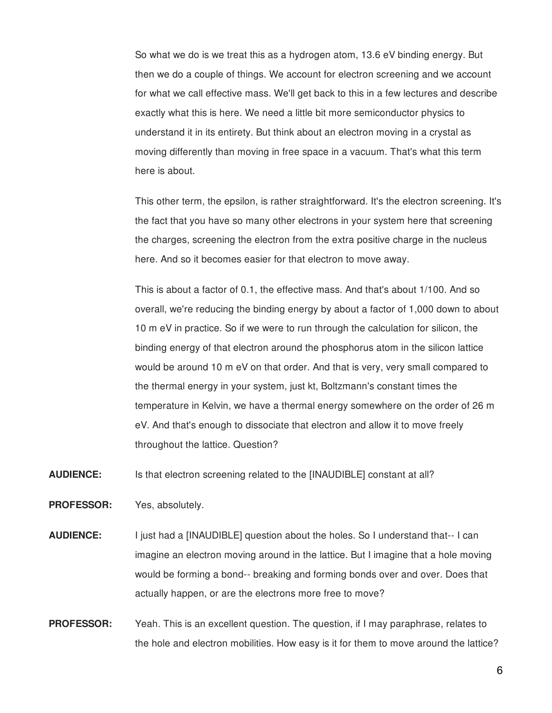So what we do is we treat this as a hydrogen atom, 13.6 eV binding energy. But then we do a couple of things. We account for electron screening and we account for what we call effective mass. We'll get back to this in a few lectures and describe exactly what this is here. We need a little bit more semiconductor physics to understand it in its entirety. But think about an electron moving in a crystal as moving differently than moving in free space in a vacuum. That's what this term here is about.

This other term, the epsilon, is rather straightforward. It's the electron screening. It's the fact that you have so many other electrons in your system here that screening the charges, screening the electron from the extra positive charge in the nucleus here. And so it becomes easier for that electron to move away.

This is about a factor of 0.1, the effective mass. And that's about 1/100. And so overall, we're reducing the binding energy by about a factor of 1,000 down to about 10 m eV in practice. So if we were to run through the calculation for silicon, the binding energy of that electron around the phosphorus atom in the silicon lattice would be around 10 m eV on that order. And that is very, very small compared to the thermal energy in your system, just kt, Boltzmann's constant times the temperature in Kelvin, we have a thermal energy somewhere on the order of 26 m eV. And that's enough to dissociate that electron and allow it to move freely throughout the lattice. Question?

**AUDIENCE:** Is that electron screening related to the [INAUDIBLE] constant at all?

**PROFESSOR:** Yes, absolutely.

**AUDIENCE:** I just had a [INAUDIBLE] question about the holes. So I understand that-- I can imagine an electron moving around in the lattice. But I imagine that a hole moving would be forming a bond-- breaking and forming bonds over and over. Does that actually happen, or are the electrons more free to move?

**PROFESSOR:** Yeah. This is an excellent question. The question, if I may paraphrase, relates to the hole and electron mobilities. How easy is it for them to move around the lattice?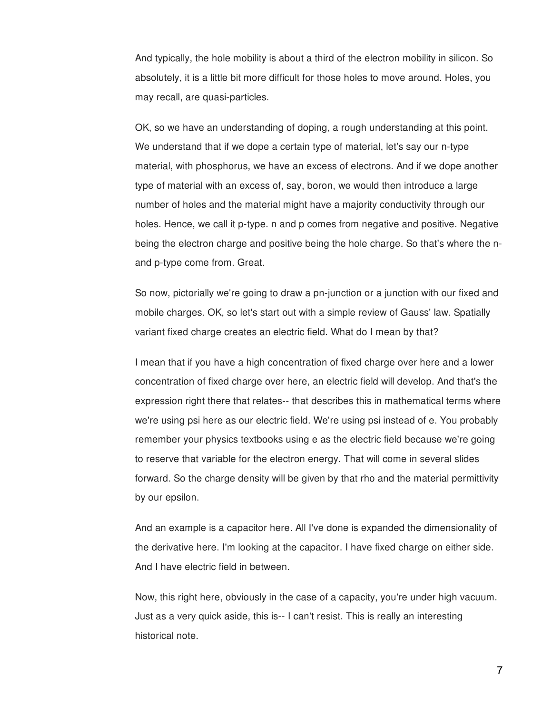And typically, the hole mobility is about a third of the electron mobility in silicon. So absolutely, it is a little bit more difficult for those holes to move around. Holes, you may recall, are quasi-particles.

OK, so we have an understanding of doping, a rough understanding at this point. We understand that if we dope a certain type of material, let's say our n-type material, with phosphorus, we have an excess of electrons. And if we dope another type of material with an excess of, say, boron, we would then introduce a large number of holes and the material might have a majority conductivity through our holes. Hence, we call it p-type. n and p comes from negative and positive. Negative being the electron charge and positive being the hole charge. So that's where the nand p-type come from. Great.

So now, pictorially we're going to draw a pn-junction or a junction with our fixed and mobile charges. OK, so let's start out with a simple review of Gauss' law. Spatially variant fixed charge creates an electric field. What do I mean by that?

I mean that if you have a high concentration of fixed charge over here and a lower concentration of fixed charge over here, an electric field will develop. And that's the expression right there that relates-- that describes this in mathematical terms where we're using psi here as our electric field. We're using psi instead of e. You probably remember your physics textbooks using e as the electric field because we're going to reserve that variable for the electron energy. That will come in several slides forward. So the charge density will be given by that rho and the material permittivity by our epsilon.

And an example is a capacitor here. All I've done is expanded the dimensionality of the derivative here. I'm looking at the capacitor. I have fixed charge on either side. And I have electric field in between.

Now, this right here, obviously in the case of a capacity, you're under high vacuum. Just as a very quick aside, this is-- I can't resist. This is really an interesting historical note.

7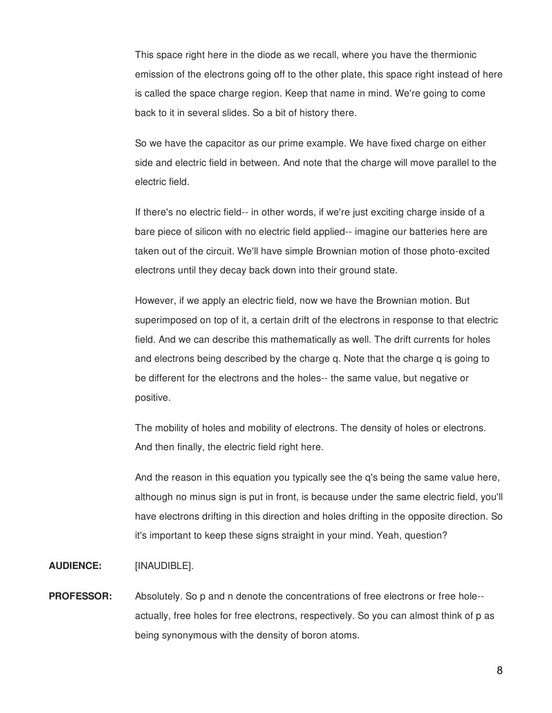This space right here in the diode as we recall, where you have the thermionic emission of the electrons going off to the other plate, this space right instead of here is called the space charge region. Keep that name in mind. We're going to come back to it in several slides. So a bit of history there.

So we have the capacitor as our prime example. We have fixed charge on either side and electric field in between. And note that the charge will move parallel to the electric field.

If there's no electric field-- in other words, if we're just exciting charge inside of a bare piece of silicon with no electric field applied-- imagine our batteries here are taken out of the circuit. We'll have simple Brownian motion of those photo-excited electrons until they decay back down into their ground state.

However, if we apply an electric field, now we have the Brownian motion. But superimposed on top of it, a certain drift of the electrons in response to that electric field. And we can describe this mathematically as well. The drift currents for holes and electrons being described by the charge q. Note that the charge q is going to be different for the electrons and the holes-- the same value, but negative or positive.

The mobility of holes and mobility of electrons. The density of holes or electrons. And then finally, the electric field right here.

And the reason in this equation you typically see the q's being the same value here, although no minus sign is put in front, is because under the same electric field, you'll have electrons drifting in this direction and holes drifting in the opposite direction. So it's important to keep these signs straight in your mind. Yeah, question?

## **AUDIENCE:** [INAUDIBLE].

**PROFESSOR:** Absolutely. So p and n denote the concentrations of free electrons or free hole- actually, free holes for free electrons, respectively. So you can almost think of p as being synonymous with the density of boron atoms.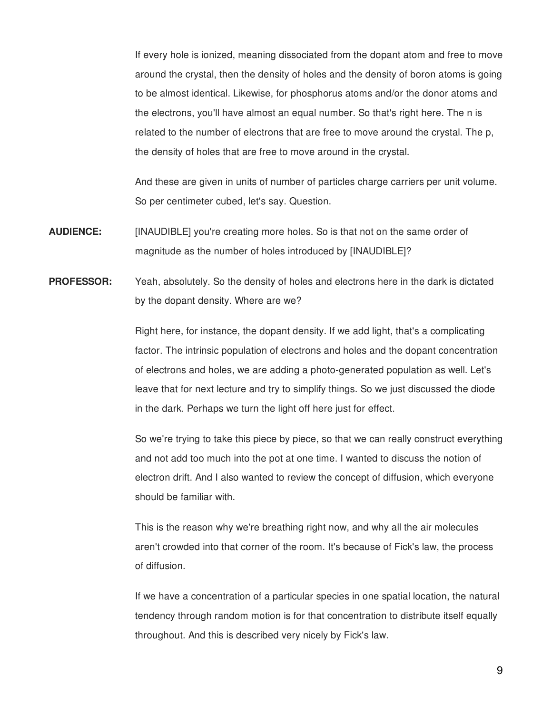If every hole is ionized, meaning dissociated from the dopant atom and free to move around the crystal, then the density of holes and the density of boron atoms is going to be almost identical. Likewise, for phosphorus atoms and/or the donor atoms and the electrons, you'll have almost an equal number. So that's right here. The n is related to the number of electrons that are free to move around the crystal. The p, the density of holes that are free to move around in the crystal.

And these are given in units of number of particles charge carriers per unit volume. So per centimeter cubed, let's say. Question.

**AUDIENCE:** [INAUDIBLE] you're creating more holes. So is that not on the same order of magnitude as the number of holes introduced by [INAUDIBLE]?

**PROFESSOR:** Yeah, absolutely. So the density of holes and electrons here in the dark is dictated by the dopant density. Where are we?

> Right here, for instance, the dopant density. If we add light, that's a complicating factor. The intrinsic population of electrons and holes and the dopant concentration of electrons and holes, we are adding a photo-generated population as well. Let's leave that for next lecture and try to simplify things. So we just discussed the diode in the dark. Perhaps we turn the light off here just for effect.

So we're trying to take this piece by piece, so that we can really construct everything and not add too much into the pot at one time. I wanted to discuss the notion of electron drift. And I also wanted to review the concept of diffusion, which everyone should be familiar with.

This is the reason why we're breathing right now, and why all the air molecules aren't crowded into that corner of the room. It's because of Fick's law, the process of diffusion.

If we have a concentration of a particular species in one spatial location, the natural tendency through random motion is for that concentration to distribute itself equally throughout. And this is described very nicely by Fick's law.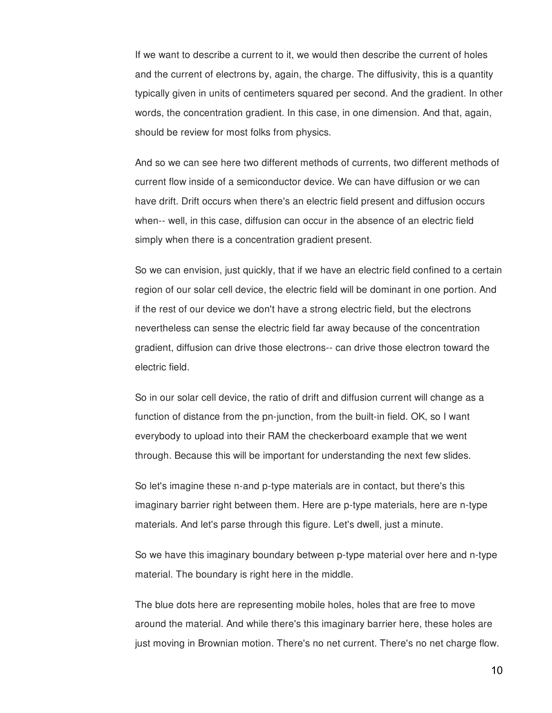If we want to describe a current to it, we would then describe the current of holes and the current of electrons by, again, the charge. The diffusivity, this is a quantity typically given in units of centimeters squared per second. And the gradient. In other words, the concentration gradient. In this case, in one dimension. And that, again, should be review for most folks from physics.

And so we can see here two different methods of currents, two different methods of current flow inside of a semiconductor device. We can have diffusion or we can have drift. Drift occurs when there's an electric field present and diffusion occurs when-- well, in this case, diffusion can occur in the absence of an electric field simply when there is a concentration gradient present.

So we can envision, just quickly, that if we have an electric field confined to a certain region of our solar cell device, the electric field will be dominant in one portion. And if the rest of our device we don't have a strong electric field, but the electrons nevertheless can sense the electric field far away because of the concentration gradient, diffusion can drive those electrons-- can drive those electron toward the electric field.

So in our solar cell device, the ratio of drift and diffusion current will change as a function of distance from the pn-junction, from the built-in field. OK, so I want everybody to upload into their RAM the checkerboard example that we went through. Because this will be important for understanding the next few slides.

So let's imagine these n-and p-type materials are in contact, but there's this imaginary barrier right between them. Here are p-type materials, here are n-type materials. And let's parse through this figure. Let's dwell, just a minute.

So we have this imaginary boundary between p-type material over here and n-type material. The boundary is right here in the middle.

The blue dots here are representing mobile holes, holes that are free to move around the material. And while there's this imaginary barrier here, these holes are just moving in Brownian motion. There's no net current. There's no net charge flow.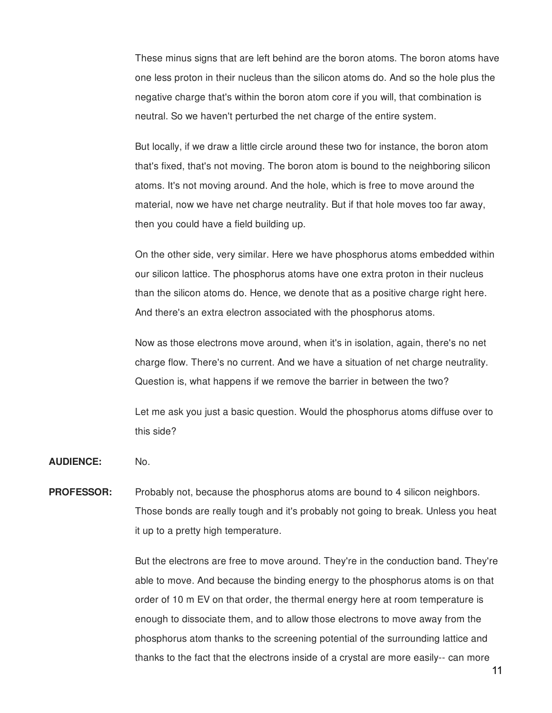These minus signs that are left behind are the boron atoms. The boron atoms have one less proton in their nucleus than the silicon atoms do. And so the hole plus the negative charge that's within the boron atom core if you will, that combination is neutral. So we haven't perturbed the net charge of the entire system.

But locally, if we draw a little circle around these two for instance, the boron atom that's fixed, that's not moving. The boron atom is bound to the neighboring silicon atoms. It's not moving around. And the hole, which is free to move around the material, now we have net charge neutrality. But if that hole moves too far away, then you could have a field building up.

On the other side, very similar. Here we have phosphorus atoms embedded within our silicon lattice. The phosphorus atoms have one extra proton in their nucleus than the silicon atoms do. Hence, we denote that as a positive charge right here. And there's an extra electron associated with the phosphorus atoms.

Now as those electrons move around, when it's in isolation, again, there's no net charge flow. There's no current. And we have a situation of net charge neutrality. Question is, what happens if we remove the barrier in between the two?

Let me ask you just a basic question. Would the phosphorus atoms diffuse over to this side?

**AUDIENCE:** No.

**PROFESSOR:** Probably not, because the phosphorus atoms are bound to 4 silicon neighbors. Those bonds are really tough and it's probably not going to break. Unless you heat it up to a pretty high temperature.

> But the electrons are free to move around. They're in the conduction band. They're able to move. And because the binding energy to the phosphorus atoms is on that order of 10 m EV on that order, the thermal energy here at room temperature is enough to dissociate them, and to allow those electrons to move away from the phosphorus atom thanks to the screening potential of the surrounding lattice and thanks to the fact that the electrons inside of a crystal are more easily-- can more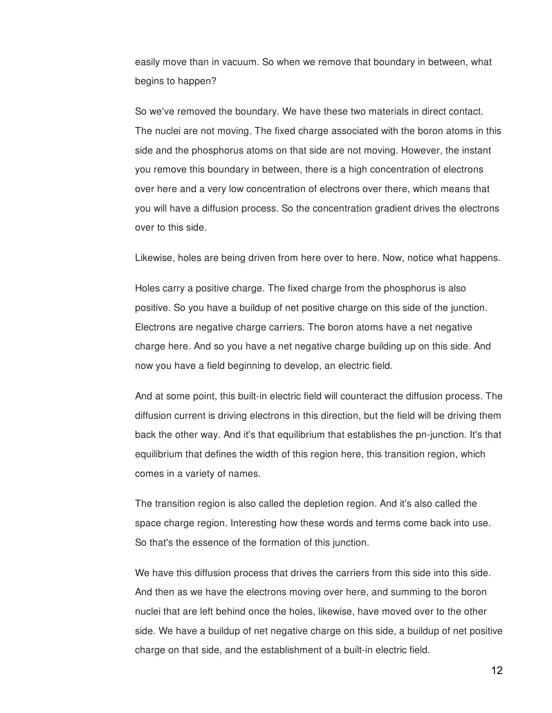easily move than in vacuum. So when we remove that boundary in between, what begins to happen?

So we've removed the boundary. We have these two materials in direct contact. The nuclei are not moving. The fixed charge associated with the boron atoms in this side and the phosphorus atoms on that side are not moving. However, the instant you remove this boundary in between, there is a high concentration of electrons over here and a very low concentration of electrons over there, which means that you will have a diffusion process. So the concentration gradient drives the electrons over to this side.

Likewise, holes are being driven from here over to here. Now, notice what happens.

Holes carry a positive charge. The fixed charge from the phosphorus is also positive. So you have a buildup of net positive charge on this side of the junction. Electrons are negative charge carriers. The boron atoms have a net negative charge here. And so you have a net negative charge building up on this side. And now you have a field beginning to develop, an electric field.

And at some point, this built-in electric field will counteract the diffusion process. The diffusion current is driving electrons in this direction, but the field will be driving them back the other way. And it's that equilibrium that establishes the pn-junction. It's that equilibrium that defines the width of this region here, this transition region, which comes in a variety of names.

The transition region is also called the depletion region. And it's also called the space charge region. Interesting how these words and terms come back into use. So that's the essence of the formation of this junction.

We have this diffusion process that drives the carriers from this side into this side. And then as we have the electrons moving over here, and summing to the boron nuclei that are left behind once the holes, likewise, have moved over to the other side. We have a buildup of net negative charge on this side, a buildup of net positive charge on that side, and the establishment of a built-in electric field.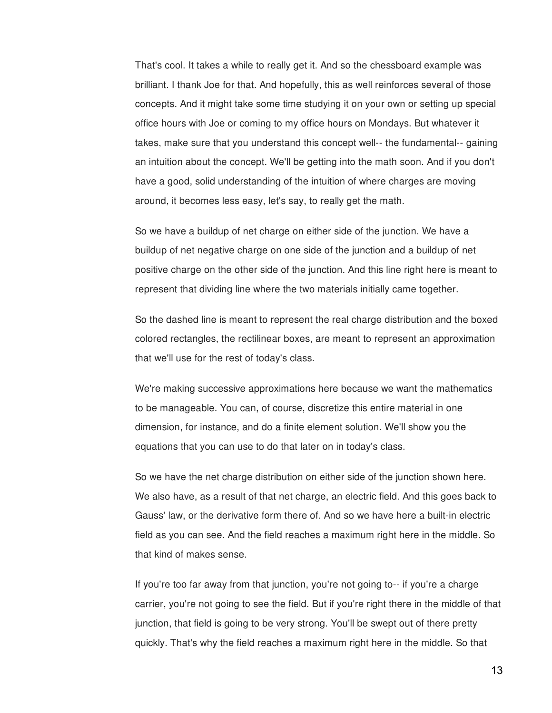That's cool. It takes a while to really get it. And so the chessboard example was brilliant. I thank Joe for that. And hopefully, this as well reinforces several of those concepts. And it might take some time studying it on your own or setting up special office hours with Joe or coming to my office hours on Mondays. But whatever it takes, make sure that you understand this concept well-- the fundamental-- gaining an intuition about the concept. We'll be getting into the math soon. And if you don't have a good, solid understanding of the intuition of where charges are moving around, it becomes less easy, let's say, to really get the math.

So we have a buildup of net charge on either side of the junction. We have a buildup of net negative charge on one side of the junction and a buildup of net positive charge on the other side of the junction. And this line right here is meant to represent that dividing line where the two materials initially came together.

So the dashed line is meant to represent the real charge distribution and the boxed colored rectangles, the rectilinear boxes, are meant to represent an approximation that we'll use for the rest of today's class.

We're making successive approximations here because we want the mathematics to be manageable. You can, of course, discretize this entire material in one dimension, for instance, and do a finite element solution. We'll show you the equations that you can use to do that later on in today's class.

So we have the net charge distribution on either side of the junction shown here. We also have, as a result of that net charge, an electric field. And this goes back to Gauss' law, or the derivative form there of. And so we have here a built-in electric field as you can see. And the field reaches a maximum right here in the middle. So that kind of makes sense.

If you're too far away from that junction, you're not going to-- if you're a charge carrier, you're not going to see the field. But if you're right there in the middle of that junction, that field is going to be very strong. You'll be swept out of there pretty quickly. That's why the field reaches a maximum right here in the middle. So that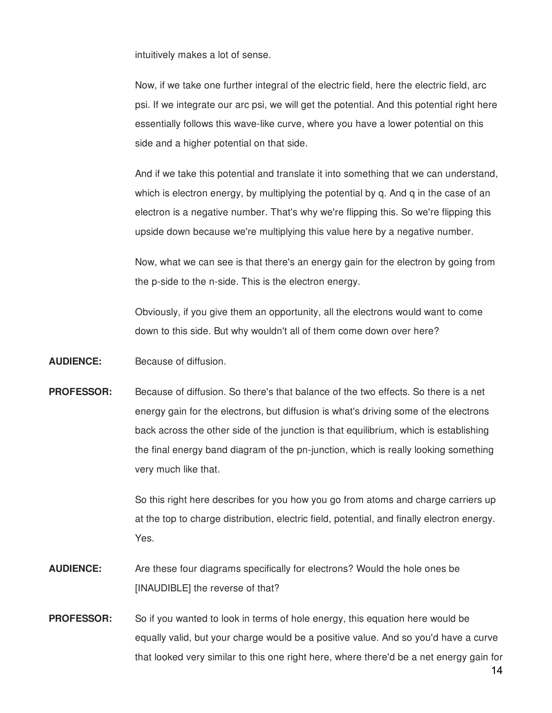intuitively makes a lot of sense.

Now, if we take one further integral of the electric field, here the electric field, arc psi. If we integrate our arc psi, we will get the potential. And this potential right here essentially follows this wave-like curve, where you have a lower potential on this side and a higher potential on that side.

And if we take this potential and translate it into something that we can understand, which is electron energy, by multiplying the potential by q. And q in the case of an electron is a negative number. That's why we're flipping this. So we're flipping this upside down because we're multiplying this value here by a negative number.

Now, what we can see is that there's an energy gain for the electron by going from the p-side to the n-side. This is the electron energy.

Obviously, if you give them an opportunity, all the electrons would want to come down to this side. But why wouldn't all of them come down over here?

**AUDIENCE:** Because of diffusion.

**PROFESSOR:** Because of diffusion. So there's that balance of the two effects. So there is a net energy gain for the electrons, but diffusion is what's driving some of the electrons back across the other side of the junction is that equilibrium, which is establishing the final energy band diagram of the pn-junction, which is really looking something very much like that.

> So this right here describes for you how you go from atoms and charge carriers up at the top to charge distribution, electric field, potential, and finally electron energy. Yes.

- **AUDIENCE:** Are these four diagrams specifically for electrons? Would the hole ones be [INAUDIBLE] the reverse of that?
- **PROFESSOR:** So if you wanted to look in terms of hole energy, this equation here would be equally valid, but your charge would be a positive value. And so you'd have a curve that looked very similar to this one right here, where there'd be a net energy gain for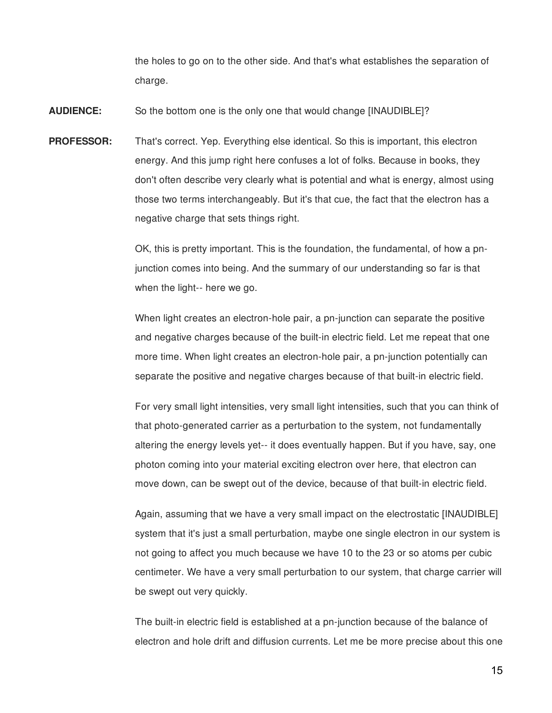the holes to go on to the other side. And that's what establishes the separation of charge.

**AUDIENCE:** So the bottom one is the only one that would change [INAUDIBLE]?

**PROFESSOR:** That's correct. Yep. Everything else identical. So this is important, this electron energy. And this jump right here confuses a lot of folks. Because in books, they don't often describe very clearly what is potential and what is energy, almost using those two terms interchangeably. But it's that cue, the fact that the electron has a negative charge that sets things right.

> OK, this is pretty important. This is the foundation, the fundamental, of how a pnjunction comes into being. And the summary of our understanding so far is that when the light-- here we go.

> When light creates an electron-hole pair, a pn-junction can separate the positive and negative charges because of the built-in electric field. Let me repeat that one more time. When light creates an electron-hole pair, a pn-junction potentially can separate the positive and negative charges because of that built-in electric field.

For very small light intensities, very small light intensities, such that you can think of that photo-generated carrier as a perturbation to the system, not fundamentally altering the energy levels yet-- it does eventually happen. But if you have, say, one photon coming into your material exciting electron over here, that electron can move down, can be swept out of the device, because of that built-in electric field.

Again, assuming that we have a very small impact on the electrostatic [INAUDIBLE] system that it's just a small perturbation, maybe one single electron in our system is not going to affect you much because we have 10 to the 23 or so atoms per cubic centimeter. We have a very small perturbation to our system, that charge carrier will be swept out very quickly.

The built-in electric field is established at a pn-junction because of the balance of electron and hole drift and diffusion currents. Let me be more precise about this one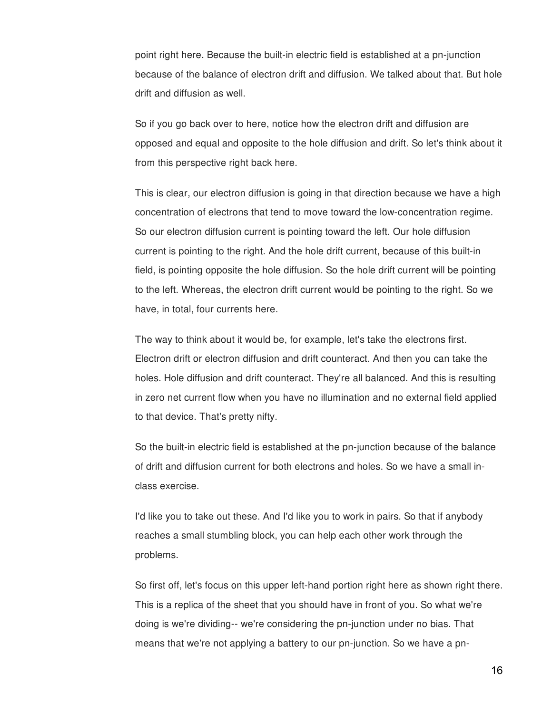point right here. Because the built-in electric field is established at a pn-junction because of the balance of electron drift and diffusion. We talked about that. But hole drift and diffusion as well.

So if you go back over to here, notice how the electron drift and diffusion are opposed and equal and opposite to the hole diffusion and drift. So let's think about it from this perspective right back here.

This is clear, our electron diffusion is going in that direction because we have a high concentration of electrons that tend to move toward the low-concentration regime. So our electron diffusion current is pointing toward the left. Our hole diffusion current is pointing to the right. And the hole drift current, because of this built-in field, is pointing opposite the hole diffusion. So the hole drift current will be pointing to the left. Whereas, the electron drift current would be pointing to the right. So we have, in total, four currents here.

The way to think about it would be, for example, let's take the electrons first. Electron drift or electron diffusion and drift counteract. And then you can take the holes. Hole diffusion and drift counteract. They're all balanced. And this is resulting in zero net current flow when you have no illumination and no external field applied to that device. That's pretty nifty.

So the built-in electric field is established at the pn-junction because of the balance of drift and diffusion current for both electrons and holes. So we have a small inclass exercise.

I'd like you to take out these. And I'd like you to work in pairs. So that if anybody reaches a small stumbling block, you can help each other work through the problems.

So first off, let's focus on this upper left-hand portion right here as shown right there. This is a replica of the sheet that you should have in front of you. So what we're doing is we're dividing-- we're considering the pn-junction under no bias. That means that we're not applying a battery to our pn-junction. So we have a pn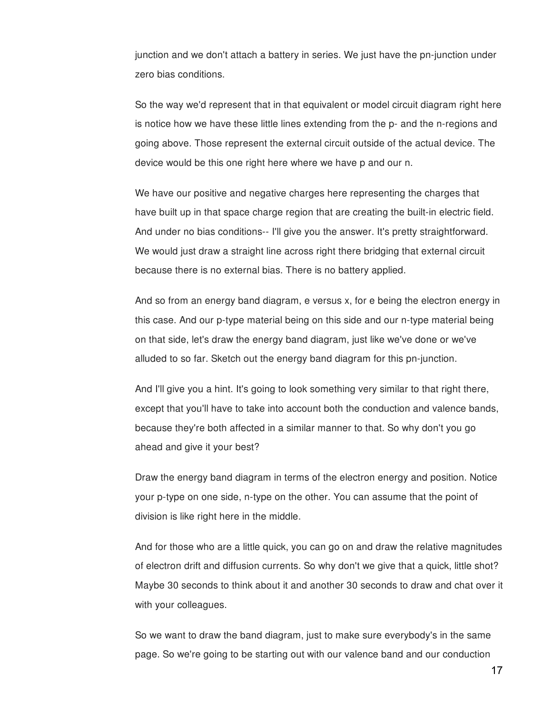junction and we don't attach a battery in series. We just have the pn-junction under zero bias conditions.

So the way we'd represent that in that equivalent or model circuit diagram right here is notice how we have these little lines extending from the p- and the n-regions and going above. Those represent the external circuit outside of the actual device. The device would be this one right here where we have p and our n.

We have our positive and negative charges here representing the charges that have built up in that space charge region that are creating the built-in electric field. And under no bias conditions-- I'll give you the answer. It's pretty straightforward. We would just draw a straight line across right there bridging that external circuit because there is no external bias. There is no battery applied.

And so from an energy band diagram, e versus x, for e being the electron energy in this case. And our p-type material being on this side and our n-type material being on that side, let's draw the energy band diagram, just like we've done or we've alluded to so far. Sketch out the energy band diagram for this pn-junction.

And I'll give you a hint. It's going to look something very similar to that right there, except that you'll have to take into account both the conduction and valence bands, because they're both affected in a similar manner to that. So why don't you go ahead and give it your best?

Draw the energy band diagram in terms of the electron energy and position. Notice your p-type on one side, n-type on the other. You can assume that the point of division is like right here in the middle.

And for those who are a little quick, you can go on and draw the relative magnitudes of electron drift and diffusion currents. So why don't we give that a quick, little shot? Maybe 30 seconds to think about it and another 30 seconds to draw and chat over it with your colleagues.

So we want to draw the band diagram, just to make sure everybody's in the same page. So we're going to be starting out with our valence band and our conduction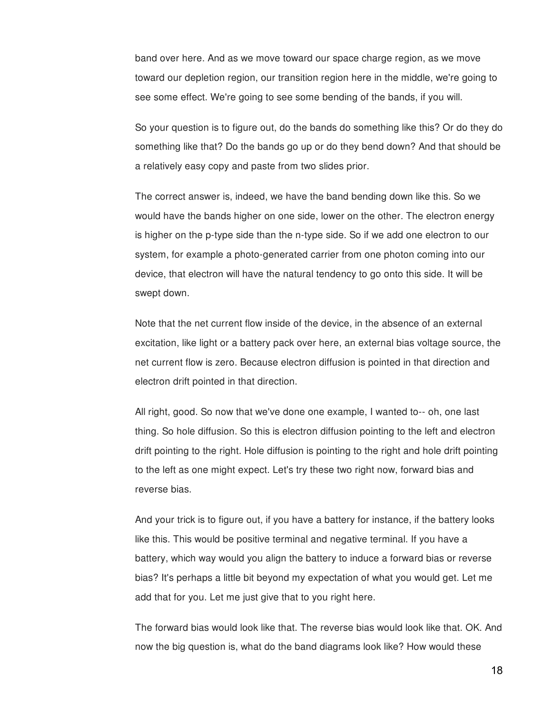band over here. And as we move toward our space charge region, as we move toward our depletion region, our transition region here in the middle, we're going to see some effect. We're going to see some bending of the bands, if you will.

So your question is to figure out, do the bands do something like this? Or do they do something like that? Do the bands go up or do they bend down? And that should be a relatively easy copy and paste from two slides prior.

The correct answer is, indeed, we have the band bending down like this. So we would have the bands higher on one side, lower on the other. The electron energy is higher on the p-type side than the n-type side. So if we add one electron to our system, for example a photo-generated carrier from one photon coming into our device, that electron will have the natural tendency to go onto this side. It will be swept down.

Note that the net current flow inside of the device, in the absence of an external excitation, like light or a battery pack over here, an external bias voltage source, the net current flow is zero. Because electron diffusion is pointed in that direction and electron drift pointed in that direction.

All right, good. So now that we've done one example, I wanted to-- oh, one last thing. So hole diffusion. So this is electron diffusion pointing to the left and electron drift pointing to the right. Hole diffusion is pointing to the right and hole drift pointing to the left as one might expect. Let's try these two right now, forward bias and reverse bias.

And your trick is to figure out, if you have a battery for instance, if the battery looks like this. This would be positive terminal and negative terminal. If you have a battery, which way would you align the battery to induce a forward bias or reverse bias? It's perhaps a little bit beyond my expectation of what you would get. Let me add that for you. Let me just give that to you right here.

The forward bias would look like that. The reverse bias would look like that. OK. And now the big question is, what do the band diagrams look like? How would these

18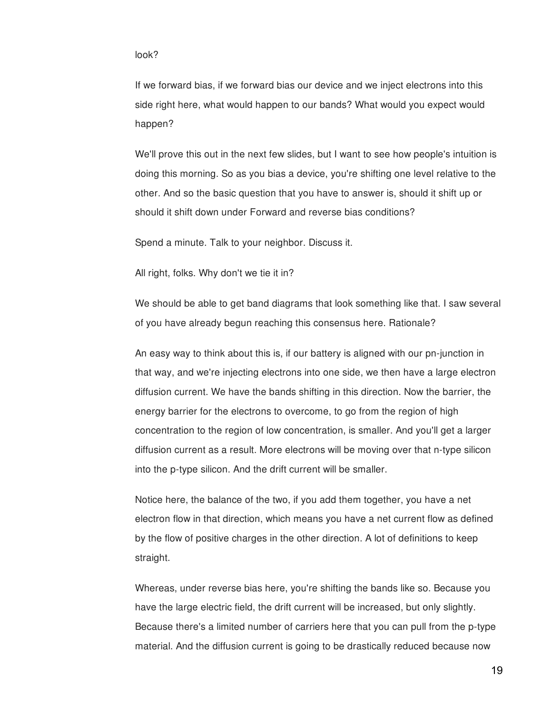## look?

If we forward bias, if we forward bias our device and we inject electrons into this side right here, what would happen to our bands? What would you expect would happen?

We'll prove this out in the next few slides, but I want to see how people's intuition is doing this morning. So as you bias a device, you're shifting one level relative to the other. And so the basic question that you have to answer is, should it shift up or should it shift down under Forward and reverse bias conditions?

Spend a minute. Talk to your neighbor. Discuss it.

All right, folks. Why don't we tie it in?

We should be able to get band diagrams that look something like that. I saw several of you have already begun reaching this consensus here. Rationale?

An easy way to think about this is, if our battery is aligned with our pn-junction in that way, and we're injecting electrons into one side, we then have a large electron diffusion current. We have the bands shifting in this direction. Now the barrier, the energy barrier for the electrons to overcome, to go from the region of high concentration to the region of low concentration, is smaller. And you'll get a larger diffusion current as a result. More electrons will be moving over that n-type silicon into the p-type silicon. And the drift current will be smaller.

Notice here, the balance of the two, if you add them together, you have a net electron flow in that direction, which means you have a net current flow as defined by the flow of positive charges in the other direction. A lot of definitions to keep straight.

Whereas, under reverse bias here, you're shifting the bands like so. Because you have the large electric field, the drift current will be increased, but only slightly. Because there's a limited number of carriers here that you can pull from the p-type material. And the diffusion current is going to be drastically reduced because now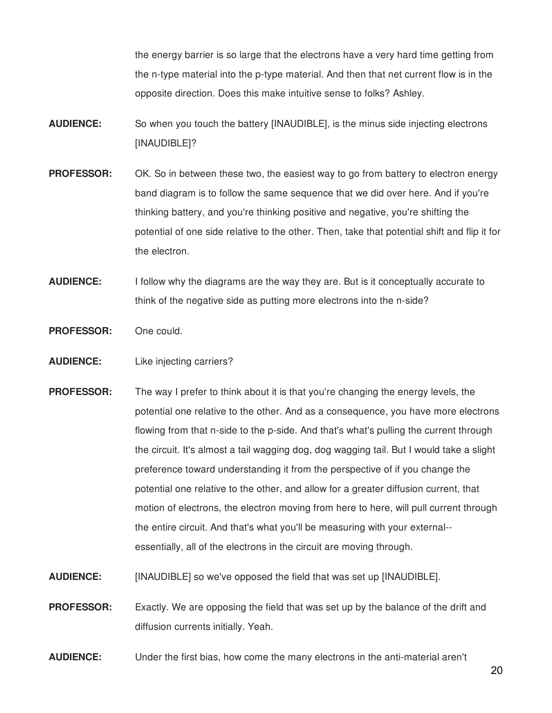the energy barrier is so large that the electrons have a very hard time getting from the n-type material into the p-type material. And then that net current flow is in the opposite direction. Does this make intuitive sense to folks? Ashley.

- **AUDIENCE:** So when you touch the battery [INAUDIBLE], is the minus side injecting electrons [INAUDIBLE]?
- **PROFESSOR:** OK. So in between these two, the easiest way to go from battery to electron energy band diagram is to follow the same sequence that we did over here. And if you're thinking battery, and you're thinking positive and negative, you're shifting the potential of one side relative to the other. Then, take that potential shift and flip it for the electron.
- **AUDIENCE:** I follow why the diagrams are the way they are. But is it conceptually accurate to think of the negative side as putting more electrons into the n-side?
- PROFESSOR: One could.
- **AUDIENCE:** Like injecting carriers?
- **PROFESSOR:** The way I prefer to think about it is that you're changing the energy levels, the potential one relative to the other. And as a consequence, you have more electrons flowing from that n-side to the p-side. And that's what's pulling the current through the circuit. It's almost a tail wagging dog, dog wagging tail. But I would take a slight preference toward understanding it from the perspective of if you change the potential one relative to the other, and allow for a greater diffusion current, that motion of electrons, the electron moving from here to here, will pull current through the entire circuit. And that's what you'll be measuring with your external- essentially, all of the electrons in the circuit are moving through.
- **AUDIENCE:** [INAUDIBLE] so we've opposed the field that was set up [INAUDIBLE].
- **PROFESSOR:** Exactly. We are opposing the field that was set up by the balance of the drift and diffusion currents initially. Yeah.
- **AUDIENCE:** Under the first bias, how come the many electrons in the anti-material aren't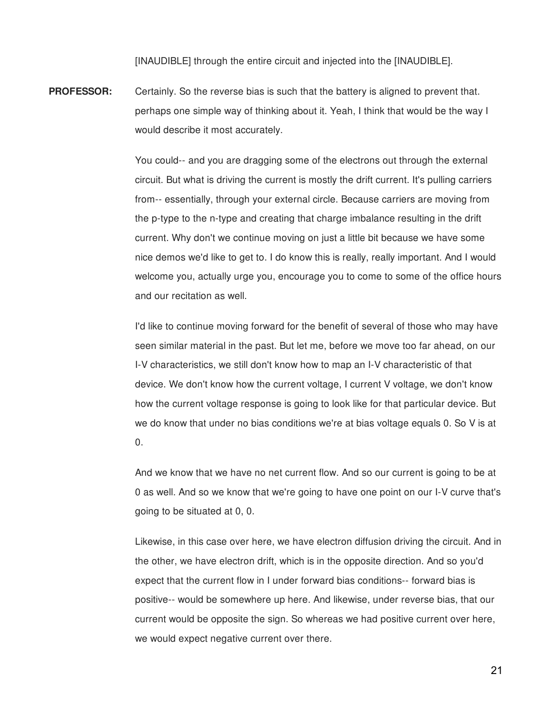[INAUDIBLE] through the entire circuit and injected into the [INAUDIBLE].

**PROFESSOR:** Certainly. So the reverse bias is such that the battery is aligned to prevent that. perhaps one simple way of thinking about it. Yeah, I think that would be the way I would describe it most accurately.

> You could-- and you are dragging some of the electrons out through the external circuit. But what is driving the current is mostly the drift current. It's pulling carriers from-- essentially, through your external circle. Because carriers are moving from the p-type to the n-type and creating that charge imbalance resulting in the drift current. Why don't we continue moving on just a little bit because we have some nice demos we'd like to get to. I do know this is really, really important. And I would welcome you, actually urge you, encourage you to come to some of the office hours and our recitation as well.

> I'd like to continue moving forward for the benefit of several of those who may have seen similar material in the past. But let me, before we move too far ahead, on our I-V characteristics, we still don't know how to map an I-V characteristic of that device. We don't know how the current voltage, I current V voltage, we don't know how the current voltage response is going to look like for that particular device. But we do know that under no bias conditions we're at bias voltage equals 0. So V is at 0.

> And we know that we have no net current flow. And so our current is going to be at 0 as well. And so we know that we're going to have one point on our I-V curve that's going to be situated at 0, 0.

> Likewise, in this case over here, we have electron diffusion driving the circuit. And in the other, we have electron drift, which is in the opposite direction. And so you'd expect that the current flow in I under forward bias conditions-- forward bias is positive-- would be somewhere up here. And likewise, under reverse bias, that our current would be opposite the sign. So whereas we had positive current over here, we would expect negative current over there.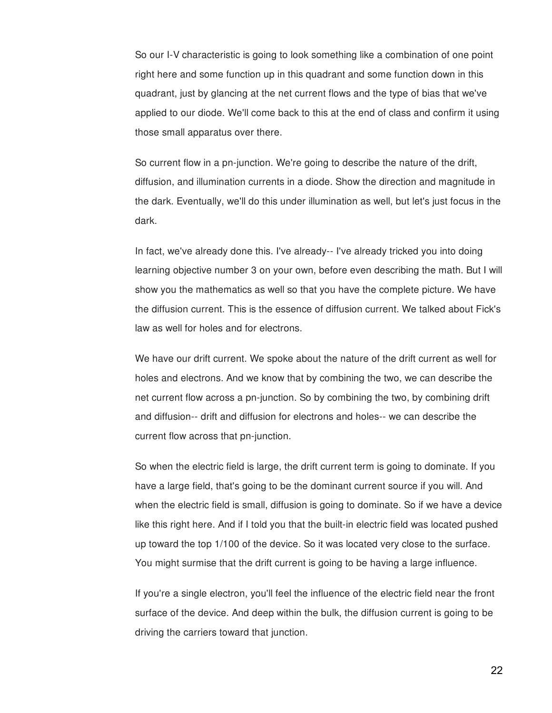So our I-V characteristic is going to look something like a combination of one point right here and some function up in this quadrant and some function down in this quadrant, just by glancing at the net current flows and the type of bias that we've applied to our diode. We'll come back to this at the end of class and confirm it using those small apparatus over there.

So current flow in a pn-junction. We're going to describe the nature of the drift, diffusion, and illumination currents in a diode. Show the direction and magnitude in the dark. Eventually, we'll do this under illumination as well, but let's just focus in the dark.

In fact, we've already done this. I've already-- I've already tricked you into doing learning objective number 3 on your own, before even describing the math. But I will show you the mathematics as well so that you have the complete picture. We have the diffusion current. This is the essence of diffusion current. We talked about Fick's law as well for holes and for electrons.

We have our drift current. We spoke about the nature of the drift current as well for holes and electrons. And we know that by combining the two, we can describe the net current flow across a pn-junction. So by combining the two, by combining drift and diffusion-- drift and diffusion for electrons and holes-- we can describe the current flow across that pn-junction.

So when the electric field is large, the drift current term is going to dominate. If you have a large field, that's going to be the dominant current source if you will. And when the electric field is small, diffusion is going to dominate. So if we have a device like this right here. And if I told you that the built-in electric field was located pushed up toward the top 1/100 of the device. So it was located very close to the surface. You might surmise that the drift current is going to be having a large influence.

If you're a single electron, you'll feel the influence of the electric field near the front surface of the device. And deep within the bulk, the diffusion current is going to be driving the carriers toward that junction.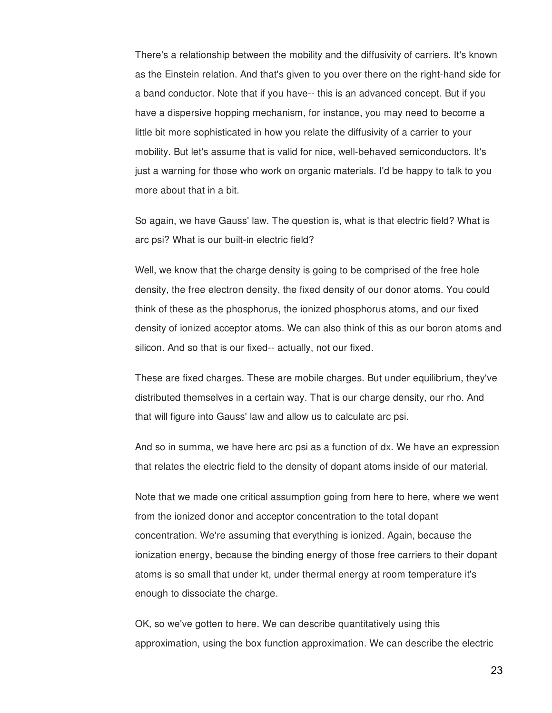There's a relationship between the mobility and the diffusivity of carriers. It's known as the Einstein relation. And that's given to you over there on the right-hand side for a band conductor. Note that if you have-- this is an advanced concept. But if you have a dispersive hopping mechanism, for instance, you may need to become a little bit more sophisticated in how you relate the diffusivity of a carrier to your mobility. But let's assume that is valid for nice, well-behaved semiconductors. It's just a warning for those who work on organic materials. I'd be happy to talk to you more about that in a bit.

So again, we have Gauss' law. The question is, what is that electric field? What is arc psi? What is our built-in electric field?

Well, we know that the charge density is going to be comprised of the free hole density, the free electron density, the fixed density of our donor atoms. You could think of these as the phosphorus, the ionized phosphorus atoms, and our fixed density of ionized acceptor atoms. We can also think of this as our boron atoms and silicon. And so that is our fixed-- actually, not our fixed.

These are fixed charges. These are mobile charges. But under equilibrium, they've distributed themselves in a certain way. That is our charge density, our rho. And that will figure into Gauss' law and allow us to calculate arc psi.

And so in summa, we have here arc psi as a function of dx. We have an expression that relates the electric field to the density of dopant atoms inside of our material.

Note that we made one critical assumption going from here to here, where we went from the ionized donor and acceptor concentration to the total dopant concentration. We're assuming that everything is ionized. Again, because the ionization energy, because the binding energy of those free carriers to their dopant atoms is so small that under kt, under thermal energy at room temperature it's enough to dissociate the charge.

OK, so we've gotten to here. We can describe quantitatively using this approximation, using the box function approximation. We can describe the electric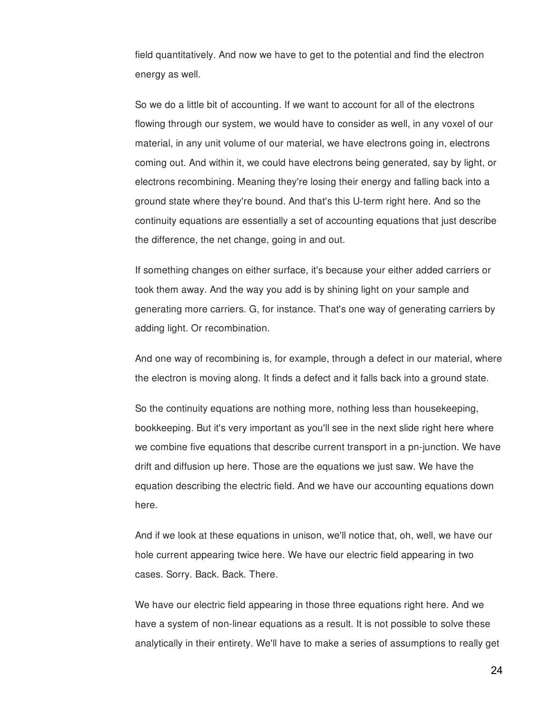field quantitatively. And now we have to get to the potential and find the electron energy as well.

So we do a little bit of accounting. If we want to account for all of the electrons flowing through our system, we would have to consider as well, in any voxel of our material, in any unit volume of our material, we have electrons going in, electrons coming out. And within it, we could have electrons being generated, say by light, or electrons recombining. Meaning they're losing their energy and falling back into a ground state where they're bound. And that's this U-term right here. And so the continuity equations are essentially a set of accounting equations that just describe the difference, the net change, going in and out.

If something changes on either surface, it's because your either added carriers or took them away. And the way you add is by shining light on your sample and generating more carriers. G, for instance. That's one way of generating carriers by adding light. Or recombination.

And one way of recombining is, for example, through a defect in our material, where the electron is moving along. It finds a defect and it falls back into a ground state.

So the continuity equations are nothing more, nothing less than housekeeping, bookkeeping. But it's very important as you'll see in the next slide right here where we combine five equations that describe current transport in a pn-junction. We have drift and diffusion up here. Those are the equations we just saw. We have the equation describing the electric field. And we have our accounting equations down here.

And if we look at these equations in unison, we'll notice that, oh, well, we have our hole current appearing twice here. We have our electric field appearing in two cases. Sorry. Back. Back. There.

We have our electric field appearing in those three equations right here. And we have a system of non-linear equations as a result. It is not possible to solve these analytically in their entirety. We'll have to make a series of assumptions to really get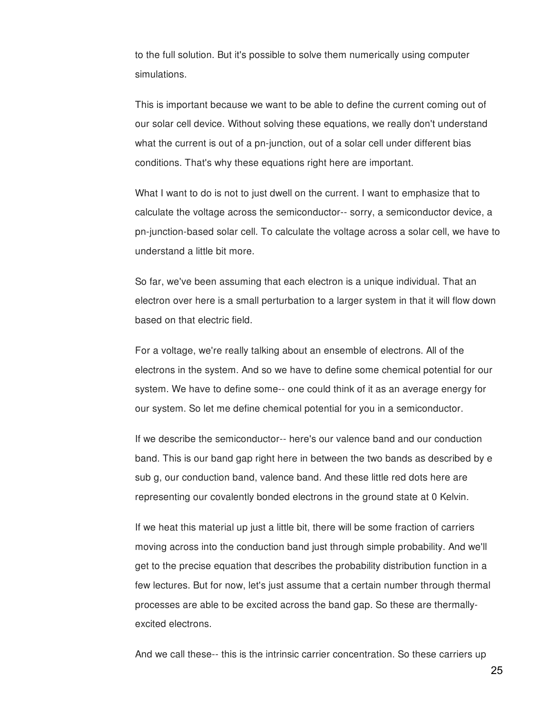to the full solution. But it's possible to solve them numerically using computer simulations.

This is important because we want to be able to define the current coming out of our solar cell device. Without solving these equations, we really don't understand what the current is out of a pn-junction, out of a solar cell under different bias conditions. That's why these equations right here are important.

What I want to do is not to just dwell on the current. I want to emphasize that to calculate the voltage across the semiconductor-- sorry, a semiconductor device, a pn-junction-based solar cell. To calculate the voltage across a solar cell, we have to understand a little bit more.

So far, we've been assuming that each electron is a unique individual. That an electron over here is a small perturbation to a larger system in that it will flow down based on that electric field.

For a voltage, we're really talking about an ensemble of electrons. All of the electrons in the system. And so we have to define some chemical potential for our system. We have to define some-- one could think of it as an average energy for our system. So let me define chemical potential for you in a semiconductor.

If we describe the semiconductor-- here's our valence band and our conduction band. This is our band gap right here in between the two bands as described by e sub g, our conduction band, valence band. And these little red dots here are representing our covalently bonded electrons in the ground state at 0 Kelvin.

If we heat this material up just a little bit, there will be some fraction of carriers moving across into the conduction band just through simple probability. And we'll get to the precise equation that describes the probability distribution function in a few lectures. But for now, let's just assume that a certain number through thermal processes are able to be excited across the band gap. So these are thermallyexcited electrons.

And we call these-- this is the intrinsic carrier concentration. So these carriers up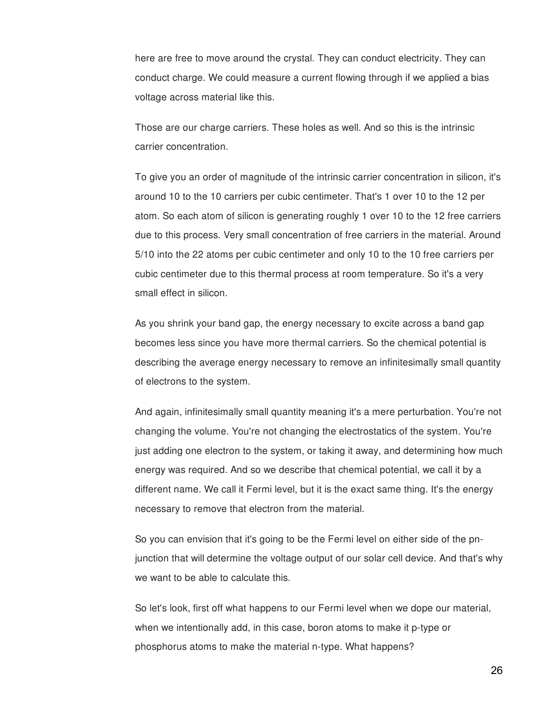here are free to move around the crystal. They can conduct electricity. They can conduct charge. We could measure a current flowing through if we applied a bias voltage across material like this.

Those are our charge carriers. These holes as well. And so this is the intrinsic carrier concentration.

To give you an order of magnitude of the intrinsic carrier concentration in silicon, it's around 10 to the 10 carriers per cubic centimeter. That's 1 over 10 to the 12 per atom. So each atom of silicon is generating roughly 1 over 10 to the 12 free carriers due to this process. Very small concentration of free carriers in the material. Around 5/10 into the 22 atoms per cubic centimeter and only 10 to the 10 free carriers per cubic centimeter due to this thermal process at room temperature. So it's a very small effect in silicon.

As you shrink your band gap, the energy necessary to excite across a band gap becomes less since you have more thermal carriers. So the chemical potential is describing the average energy necessary to remove an infinitesimally small quantity of electrons to the system.

And again, infinitesimally small quantity meaning it's a mere perturbation. You're not changing the volume. You're not changing the electrostatics of the system. You're just adding one electron to the system, or taking it away, and determining how much energy was required. And so we describe that chemical potential, we call it by a different name. We call it Fermi level, but it is the exact same thing. It's the energy necessary to remove that electron from the material.

So you can envision that it's going to be the Fermi level on either side of the pnjunction that will determine the voltage output of our solar cell device. And that's why we want to be able to calculate this.

So let's look, first off what happens to our Fermi level when we dope our material, when we intentionally add, in this case, boron atoms to make it p-type or phosphorus atoms to make the material n-type. What happens?

26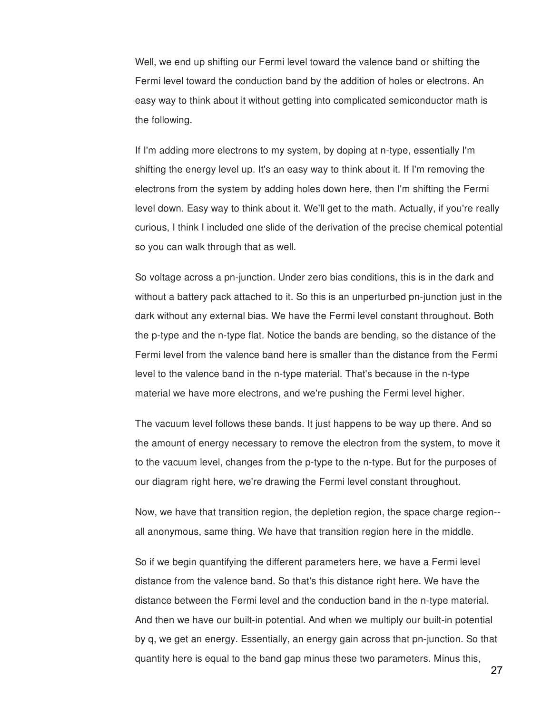Well, we end up shifting our Fermi level toward the valence band or shifting the Fermi level toward the conduction band by the addition of holes or electrons. An easy way to think about it without getting into complicated semiconductor math is the following.

If I'm adding more electrons to my system, by doping at n-type, essentially I'm shifting the energy level up. It's an easy way to think about it. If I'm removing the electrons from the system by adding holes down here, then I'm shifting the Fermi level down. Easy way to think about it. We'll get to the math. Actually, if you're really curious, I think I included one slide of the derivation of the precise chemical potential so you can walk through that as well.

So voltage across a pn-junction. Under zero bias conditions, this is in the dark and without a battery pack attached to it. So this is an unperturbed pn-junction just in the dark without any external bias. We have the Fermi level constant throughout. Both the p-type and the n-type flat. Notice the bands are bending, so the distance of the Fermi level from the valence band here is smaller than the distance from the Fermi level to the valence band in the n-type material. That's because in the n-type material we have more electrons, and we're pushing the Fermi level higher.

The vacuum level follows these bands. It just happens to be way up there. And so the amount of energy necessary to remove the electron from the system, to move it to the vacuum level, changes from the p-type to the n-type. But for the purposes of our diagram right here, we're drawing the Fermi level constant throughout.

Now, we have that transition region, the depletion region, the space charge region- all anonymous, same thing. We have that transition region here in the middle.

So if we begin quantifying the different parameters here, we have a Fermi level distance from the valence band. So that's this distance right here. We have the distance between the Fermi level and the conduction band in the n-type material. And then we have our built-in potential. And when we multiply our built-in potential by q, we get an energy. Essentially, an energy gain across that pn-junction. So that quantity here is equal to the band gap minus these two parameters. Minus this,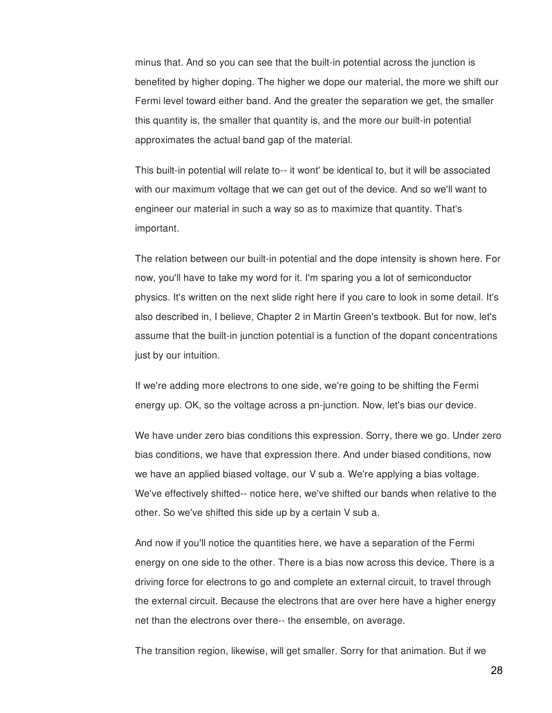minus that. And so you can see that the built-in potential across the junction is benefited by higher doping. The higher we dope our material, the more we shift our Fermi level toward either band. And the greater the separation we get, the smaller this quantity is, the smaller that quantity is, and the more our built-in potential approximates the actual band gap of the material.

This built-in potential will relate to-- it wont' be identical to, but it will be associated with our maximum voltage that we can get out of the device. And so we'll want to engineer our material in such a way so as to maximize that quantity. That's important.

The relation between our built-in potential and the dope intensity is shown here. For now, you'll have to take my word for it. I'm sparing you a lot of semiconductor physics. It's written on the next slide right here if you care to look in some detail. It's also described in, I believe, Chapter 2 in Martin Green's textbook. But for now, let's assume that the built-in junction potential is a function of the dopant concentrations just by our intuition.

If we're adding more electrons to one side, we're going to be shifting the Fermi energy up. OK, so the voltage across a pn-junction. Now, let's bias our device.

We have under zero bias conditions this expression. Sorry, there we go. Under zero bias conditions, we have that expression there. And under biased conditions, now we have an applied biased voltage, our V sub a. We're applying a bias voltage. We've effectively shifted-- notice here, we've shifted our bands when relative to the other. So we've shifted this side up by a certain V sub a.

And now if you'll notice the quantities here, we have a separation of the Fermi energy on one side to the other. There is a bias now across this device. There is a driving force for electrons to go and complete an external circuit, to travel through the external circuit. Because the electrons that are over here have a higher energy net than the electrons over there-- the ensemble, on average.

The transition region, likewise, will get smaller. Sorry for that animation. But if we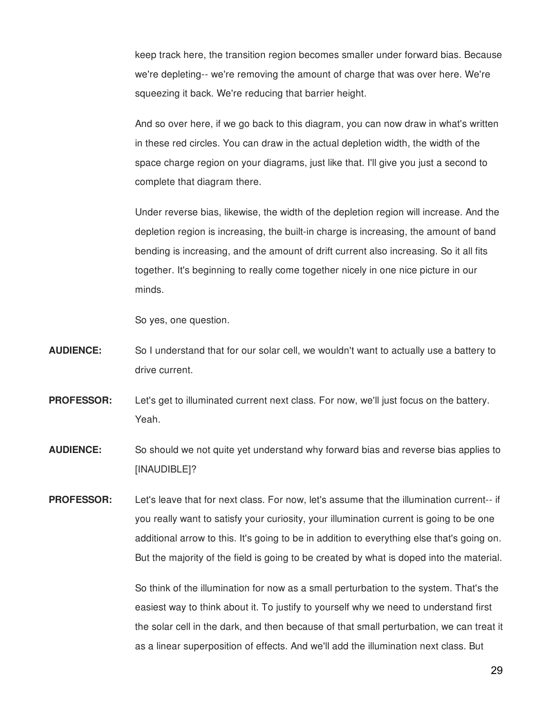keep track here, the transition region becomes smaller under forward bias. Because we're depleting-- we're removing the amount of charge that was over here. We're squeezing it back. We're reducing that barrier height.

And so over here, if we go back to this diagram, you can now draw in what's written in these red circles. You can draw in the actual depletion width, the width of the space charge region on your diagrams, just like that. I'll give you just a second to complete that diagram there.

Under reverse bias, likewise, the width of the depletion region will increase. And the depletion region is increasing, the built-in charge is increasing, the amount of band bending is increasing, and the amount of drift current also increasing. So it all fits together. It's beginning to really come together nicely in one nice picture in our minds.

So yes, one question.

- **AUDIENCE:** So I understand that for our solar cell, we wouldn't want to actually use a battery to drive current.
- **PROFESSOR:** Let's get to illuminated current next class. For now, we'll just focus on the battery. Yeah.
- **AUDIENCE:** So should we not quite yet understand why forward bias and reverse bias applies to [INAUDIBLE]?

**PROFESSOR:** Let's leave that for next class. For now, let's assume that the illumination current-- if you really want to satisfy your curiosity, your illumination current is going to be one additional arrow to this. It's going to be in addition to everything else that's going on. But the majority of the field is going to be created by what is doped into the material.

> So think of the illumination for now as a small perturbation to the system. That's the easiest way to think about it. To justify to yourself why we need to understand first the solar cell in the dark, and then because of that small perturbation, we can treat it as a linear superposition of effects. And we'll add the illumination next class. But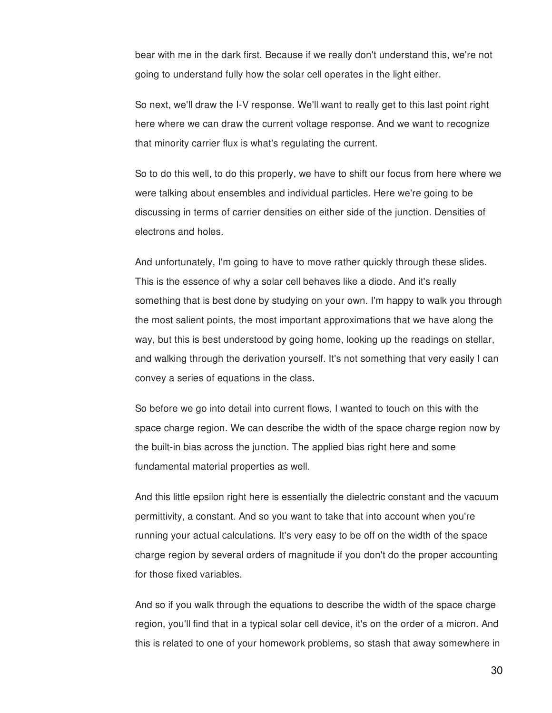bear with me in the dark first. Because if we really don't understand this, we're not going to understand fully how the solar cell operates in the light either.

So next, we'll draw the I-V response. We'll want to really get to this last point right here where we can draw the current voltage response. And we want to recognize that minority carrier flux is what's regulating the current.

So to do this well, to do this properly, we have to shift our focus from here where we were talking about ensembles and individual particles. Here we're going to be discussing in terms of carrier densities on either side of the junction. Densities of electrons and holes.

And unfortunately, I'm going to have to move rather quickly through these slides. This is the essence of why a solar cell behaves like a diode. And it's really something that is best done by studying on your own. I'm happy to walk you through the most salient points, the most important approximations that we have along the way, but this is best understood by going home, looking up the readings on stellar, and walking through the derivation yourself. It's not something that very easily I can convey a series of equations in the class.

So before we go into detail into current flows, I wanted to touch on this with the space charge region. We can describe the width of the space charge region now by the built-in bias across the junction. The applied bias right here and some fundamental material properties as well.

And this little epsilon right here is essentially the dielectric constant and the vacuum permittivity, a constant. And so you want to take that into account when you're running your actual calculations. It's very easy to be off on the width of the space charge region by several orders of magnitude if you don't do the proper accounting for those fixed variables.

And so if you walk through the equations to describe the width of the space charge region, you'll find that in a typical solar cell device, it's on the order of a micron. And this is related to one of your homework problems, so stash that away somewhere in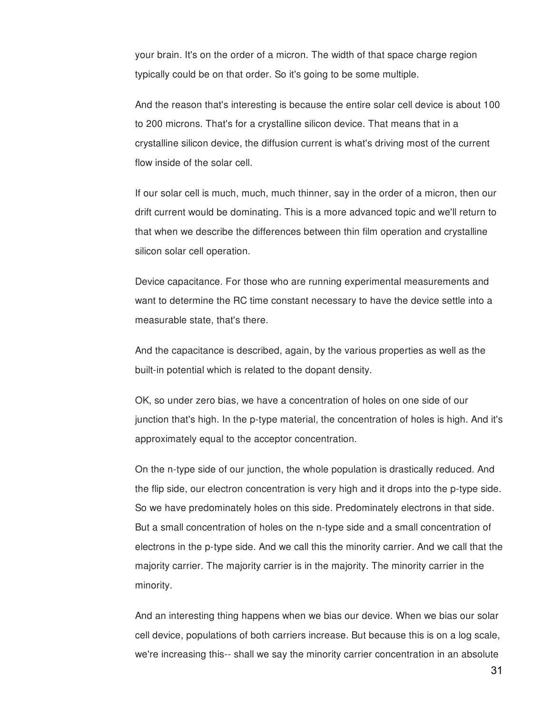your brain. It's on the order of a micron. The width of that space charge region typically could be on that order. So it's going to be some multiple.

And the reason that's interesting is because the entire solar cell device is about 100 to 200 microns. That's for a crystalline silicon device. That means that in a crystalline silicon device, the diffusion current is what's driving most of the current flow inside of the solar cell.

If our solar cell is much, much, much thinner, say in the order of a micron, then our drift current would be dominating. This is a more advanced topic and we'll return to that when we describe the differences between thin film operation and crystalline silicon solar cell operation.

Device capacitance. For those who are running experimental measurements and want to determine the RC time constant necessary to have the device settle into a measurable state, that's there.

And the capacitance is described, again, by the various properties as well as the built-in potential which is related to the dopant density.

OK, so under zero bias, we have a concentration of holes on one side of our junction that's high. In the p-type material, the concentration of holes is high. And it's approximately equal to the acceptor concentration.

On the n-type side of our junction, the whole population is drastically reduced. And the flip side, our electron concentration is very high and it drops into the p-type side. So we have predominately holes on this side. Predominately electrons in that side. But a small concentration of holes on the n-type side and a small concentration of electrons in the p-type side. And we call this the minority carrier. And we call that the majority carrier. The majority carrier is in the majority. The minority carrier in the minority.

And an interesting thing happens when we bias our device. When we bias our solar cell device, populations of both carriers increase. But because this is on a log scale, we're increasing this-- shall we say the minority carrier concentration in an absolute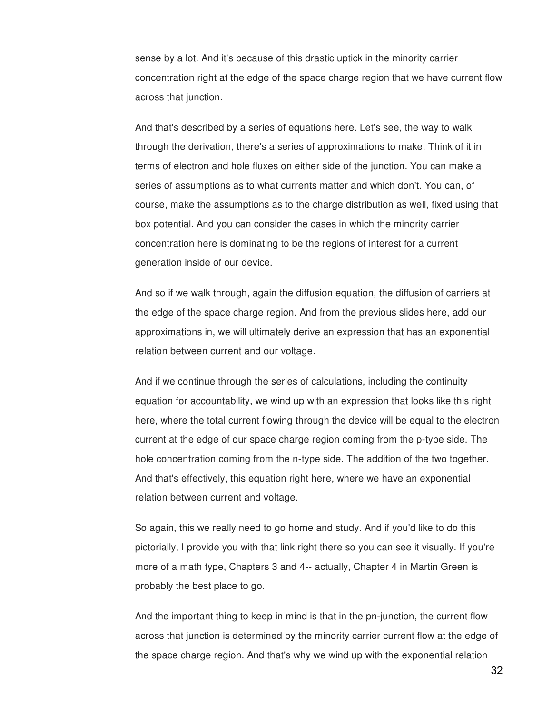sense by a lot. And it's because of this drastic uptick in the minority carrier concentration right at the edge of the space charge region that we have current flow across that junction.

And that's described by a series of equations here. Let's see, the way to walk through the derivation, there's a series of approximations to make. Think of it in terms of electron and hole fluxes on either side of the junction. You can make a series of assumptions as to what currents matter and which don't. You can, of course, make the assumptions as to the charge distribution as well, fixed using that box potential. And you can consider the cases in which the minority carrier concentration here is dominating to be the regions of interest for a current generation inside of our device.

And so if we walk through, again the diffusion equation, the diffusion of carriers at the edge of the space charge region. And from the previous slides here, add our approximations in, we will ultimately derive an expression that has an exponential relation between current and our voltage.

And if we continue through the series of calculations, including the continuity equation for accountability, we wind up with an expression that looks like this right here, where the total current flowing through the device will be equal to the electron current at the edge of our space charge region coming from the p-type side. The hole concentration coming from the n-type side. The addition of the two together. And that's effectively, this equation right here, where we have an exponential relation between current and voltage.

So again, this we really need to go home and study. And if you'd like to do this pictorially, I provide you with that link right there so you can see it visually. If you're more of a math type, Chapters 3 and 4-- actually, Chapter 4 in Martin Green is probably the best place to go.

And the important thing to keep in mind is that in the pn-junction, the current flow across that junction is determined by the minority carrier current flow at the edge of the space charge region. And that's why we wind up with the exponential relation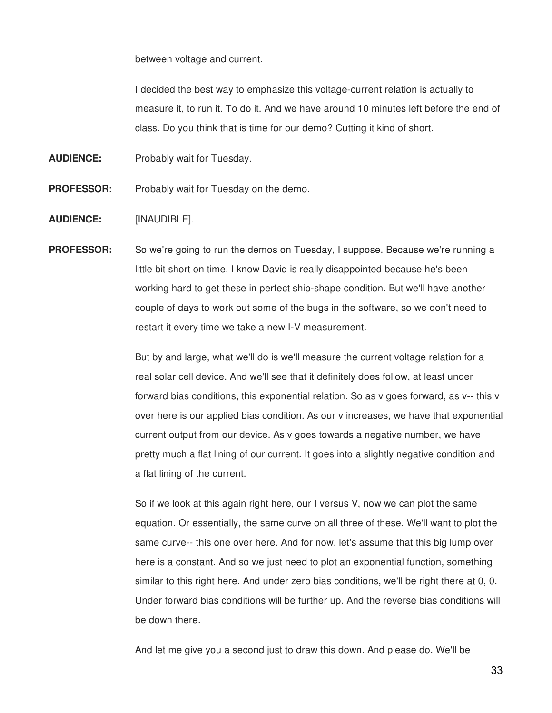between voltage and current.

I decided the best way to emphasize this voltage-current relation is actually to measure it, to run it. To do it. And we have around 10 minutes left before the end of class. Do you think that is time for our demo? Cutting it kind of short.

**AUDIENCE:** Probably wait for Tuesday.

**PROFESSOR:** Probably wait for Tuesday on the demo.

**AUDIENCE:** [INAUDIBLE].

**PROFESSOR:** So we're going to run the demos on Tuesday, I suppose. Because we're running a little bit short on time. I know David is really disappointed because he's been working hard to get these in perfect ship-shape condition. But we'll have another couple of days to work out some of the bugs in the software, so we don't need to restart it every time we take a new I-V measurement.

> But by and large, what we'll do is we'll measure the current voltage relation for a real solar cell device. And we'll see that it definitely does follow, at least under forward bias conditions, this exponential relation. So as v goes forward, as v-- this v over here is our applied bias condition. As our v increases, we have that exponential current output from our device. As v goes towards a negative number, we have pretty much a flat lining of our current. It goes into a slightly negative condition and a flat lining of the current.

> So if we look at this again right here, our I versus V, now we can plot the same equation. Or essentially, the same curve on all three of these. We'll want to plot the same curve-- this one over here. And for now, let's assume that this big lump over here is a constant. And so we just need to plot an exponential function, something similar to this right here. And under zero bias conditions, we'll be right there at 0, 0. Under forward bias conditions will be further up. And the reverse bias conditions will be down there.

And let me give you a second just to draw this down. And please do. We'll be

33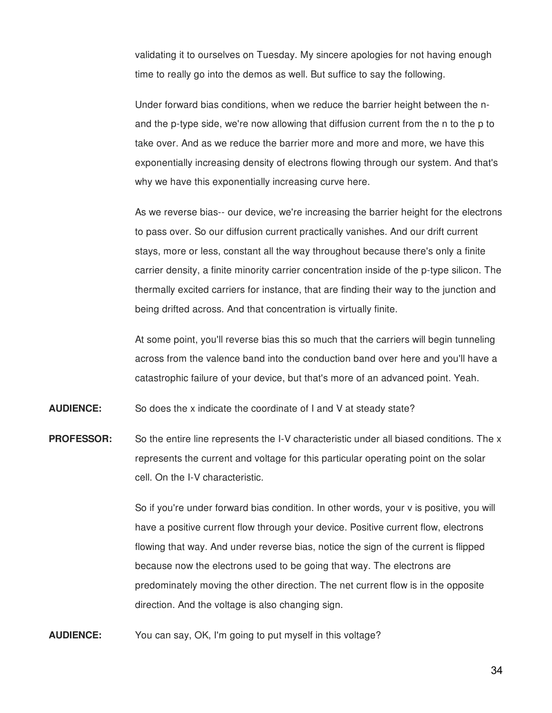validating it to ourselves on Tuesday. My sincere apologies for not having enough time to really go into the demos as well. But suffice to say the following.

Under forward bias conditions, when we reduce the barrier height between the nand the p-type side, we're now allowing that diffusion current from the n to the p to take over. And as we reduce the barrier more and more and more, we have this exponentially increasing density of electrons flowing through our system. And that's why we have this exponentially increasing curve here.

As we reverse bias-- our device, we're increasing the barrier height for the electrons to pass over. So our diffusion current practically vanishes. And our drift current stays, more or less, constant all the way throughout because there's only a finite carrier density, a finite minority carrier concentration inside of the p-type silicon. The thermally excited carriers for instance, that are finding their way to the junction and being drifted across. And that concentration is virtually finite.

At some point, you'll reverse bias this so much that the carriers will begin tunneling across from the valence band into the conduction band over here and you'll have a catastrophic failure of your device, but that's more of an advanced point. Yeah.

**AUDIENCE:** So does the x indicate the coordinate of I and V at steady state?

**PROFESSOR:** So the entire line represents the I-V characteristic under all biased conditions. The x represents the current and voltage for this particular operating point on the solar cell. On the I-V characteristic.

> So if you're under forward bias condition. In other words, your v is positive, you will have a positive current flow through your device. Positive current flow, electrons flowing that way. And under reverse bias, notice the sign of the current is flipped because now the electrons used to be going that way. The electrons are predominately moving the other direction. The net current flow is in the opposite direction. And the voltage is also changing sign.

**AUDIENCE:** You can say, OK, I'm going to put myself in this voltage?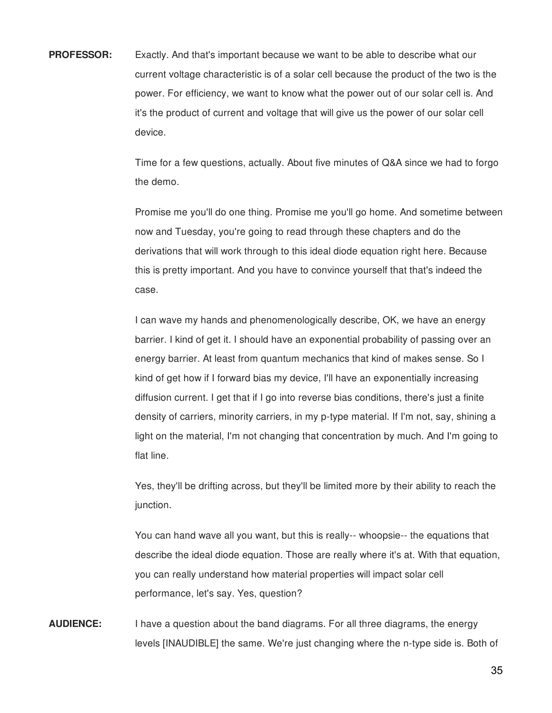**PROFESSOR:** Exactly. And that's important because we want to be able to describe what our current voltage characteristic is of a solar cell because the product of the two is the power. For efficiency, we want to know what the power out of our solar cell is. And it's the product of current and voltage that will give us the power of our solar cell device.

> Time for a few questions, actually. About five minutes of Q&A since we had to forgo the demo.

Promise me you'll do one thing. Promise me you'll go home. And sometime between now and Tuesday, you're going to read through these chapters and do the derivations that will work through to this ideal diode equation right here. Because this is pretty important. And you have to convince yourself that that's indeed the case.

I can wave my hands and phenomenologically describe, OK, we have an energy barrier. I kind of get it. I should have an exponential probability of passing over an energy barrier. At least from quantum mechanics that kind of makes sense. So I kind of get how if I forward bias my device, I'll have an exponentially increasing diffusion current. I get that if I go into reverse bias conditions, there's just a finite density of carriers, minority carriers, in my p-type material. If I'm not, say, shining a light on the material, I'm not changing that concentration by much. And I'm going to flat line.

Yes, they'll be drifting across, but they'll be limited more by their ability to reach the junction.

You can hand wave all you want, but this is really-- whoopsie-- the equations that describe the ideal diode equation. Those are really where it's at. With that equation, you can really understand how material properties will impact solar cell performance, let's say. Yes, question?

**AUDIENCE:** I have a question about the band diagrams. For all three diagrams, the energy levels [INAUDIBLE] the same. We're just changing where the n-type side is. Both of

35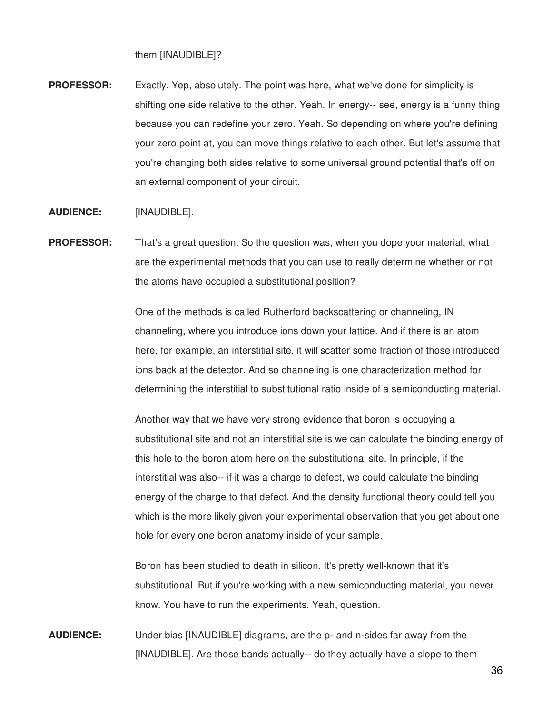them [INAUDIBLE]?

**PROFESSOR:** Exactly. Yep, absolutely. The point was here, what we've done for simplicity is shifting one side relative to the other. Yeah. In energy-- see, energy is a funny thing because you can redefine your zero. Yeah. So depending on where you're defining your zero point at, you can move things relative to each other. But let's assume that you're changing both sides relative to some universal ground potential that's off on an external component of your circuit.

## **AUDIENCE:** [INAUDIBLE].

**PROFESSOR:** That's a great question. So the question was, when you dope your material, what are the experimental methods that you can use to really determine whether or not the atoms have occupied a substitutional position?

> One of the methods is called Rutherford backscattering or channeling, IN channeling, where you introduce ions down your lattice. And if there is an atom here, for example, an interstitial site, it will scatter some fraction of those introduced ions back at the detector. And so channeling is one characterization method for determining the interstitial to substitutional ratio inside of a semiconducting material.

> Another way that we have very strong evidence that boron is occupying a substitutional site and not an interstitial site is we can calculate the binding energy of this hole to the boron atom here on the substitutional site. In principle, if the interstitial was also-- if it was a charge to defect, we could calculate the binding energy of the charge to that defect. And the density functional theory could tell you which is the more likely given your experimental observation that you get about one hole for every one boron anatomy inside of your sample.

Boron has been studied to death in silicon. It's pretty well-known that it's substitutional. But if you're working with a new semiconducting material, you never know. You have to run the experiments. Yeah, question.

**AUDIENCE:** Under bias [INAUDIBLE] diagrams, are the p- and n-sides far away from the [INAUDIBLE]. Are those bands actually-- do they actually have a slope to them